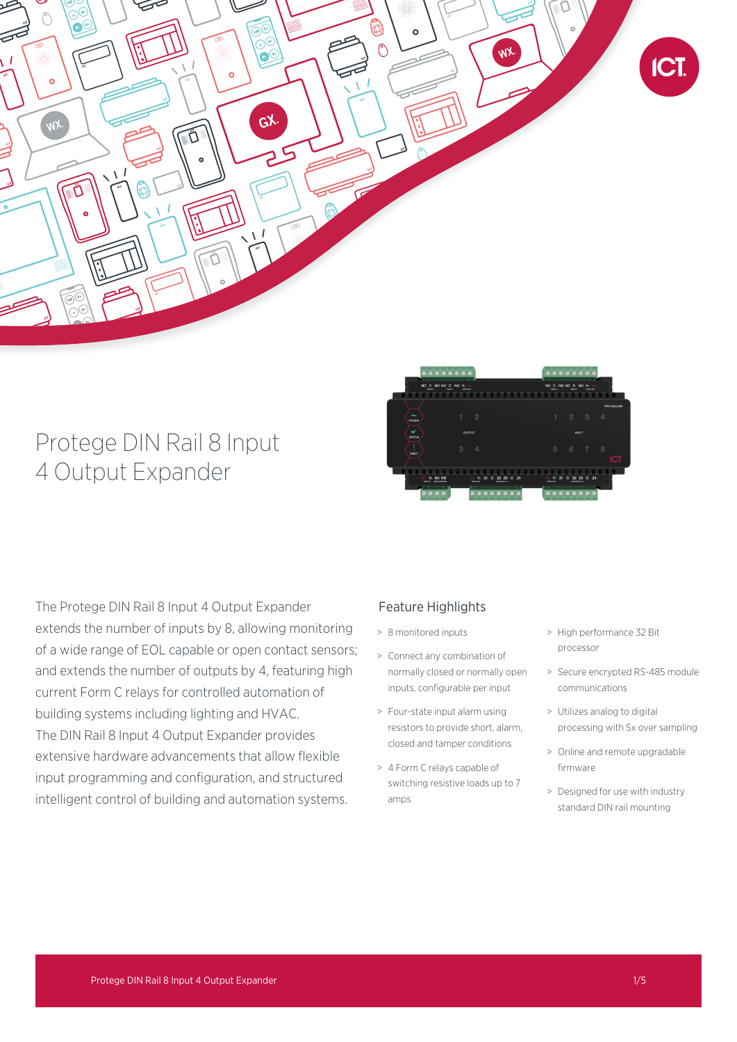

# Protege DIN Rail 8 Input 4 Output Expander



The Protege DIN Rail 8 Input 4 Output Expander extends the number of inputs by 8, allowing monitoring of a wide range of EOL capable or open contact sensors; and extends the number of outputs by 4, featuring high current Form C relays for controlled automation of building systems including lighting and HVAC. The DIN Rail 8 Input 4 Output Expander provides extensive hardware advancements that allow flexible input programming and configuration, and structured intelligent control of building and automation systems.

# Feature Highlights

- > 8 monitored inputs
- > Connect any combination of normally closed or normally open inputs, configurable per input
- > Four-state input alarm using resistors to provide short, alarm, closed and tamper conditions
- > 4 Form C relays capable of switching resistive loads up to 7 amps
- > High performance 32 Bit processor
- > Secure encrypted RS-485 module communications
- > Utilizes analog to digital processing with 5x over sampling
- > Online and remote upgradable firmware
- > Designed for use with industry standard DIN rail mounting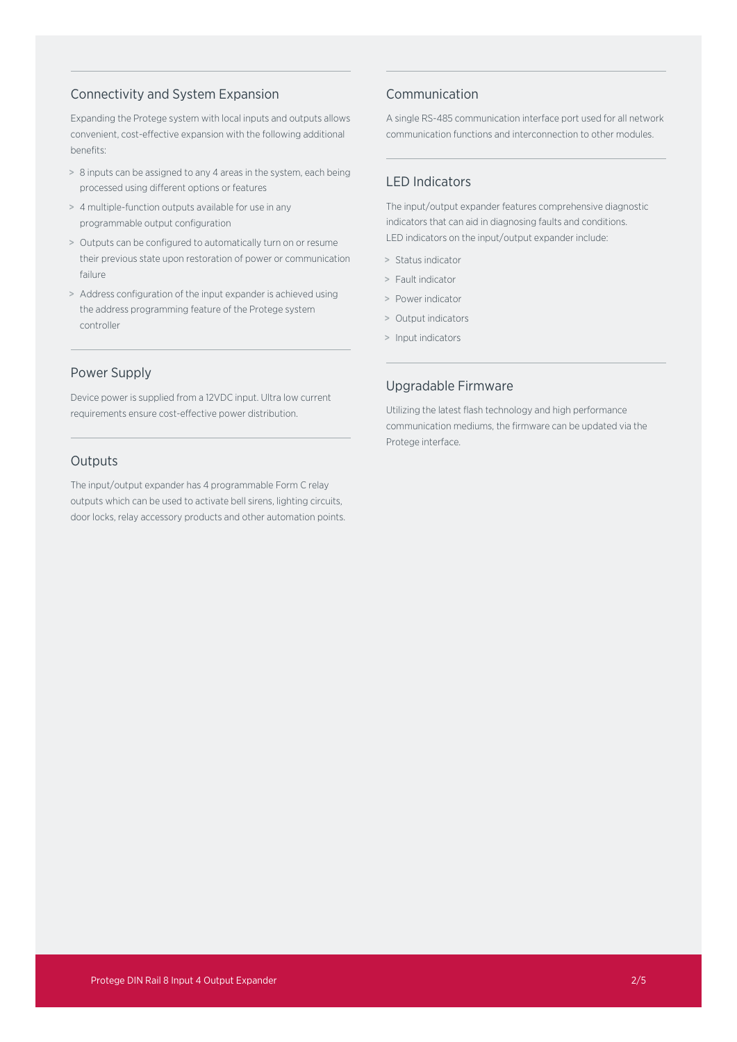## Connectivity and System Expansion

Expanding the Protege system with local inputs and outputs allows convenient, cost-effective expansion with the following additional benefits:

- > 8 inputs can be assigned to any 4 areas in the system, each being processed using different options or features
- > 4 multiple-function outputs available for use in any programmable output configuration
- > Outputs can be configured to automatically turn on or resume their previous state upon restoration of power or communication failure
- > Address configuration of the input expander is achieved using the address programming feature of the Protege system controller

## Power Supply

Device power is supplied from a 12VDC input. Ultra low current requirements ensure cost-effective power distribution.

## **Outputs**

The input/output expander has 4 programmable Form C relay outputs which can be used to activate bell sirens, lighting circuits, door locks, relay accessory products and other automation points.

## Communication

A single RS-485 communication interface port used for all network communication functions and interconnection to other modules.

## LED Indicators

The input/output expander features comprehensive diagnostic indicators that can aid in diagnosing faults and conditions. LED indicators on the input/output expander include:

- > Status indicator
- > Fault indicator
- > Power indicator
- > Output indicators
- > Input indicators

## Upgradable Firmware

Utilizing the latest flash technology and high performance communication mediums, the firmware can be updated via the Protege interface.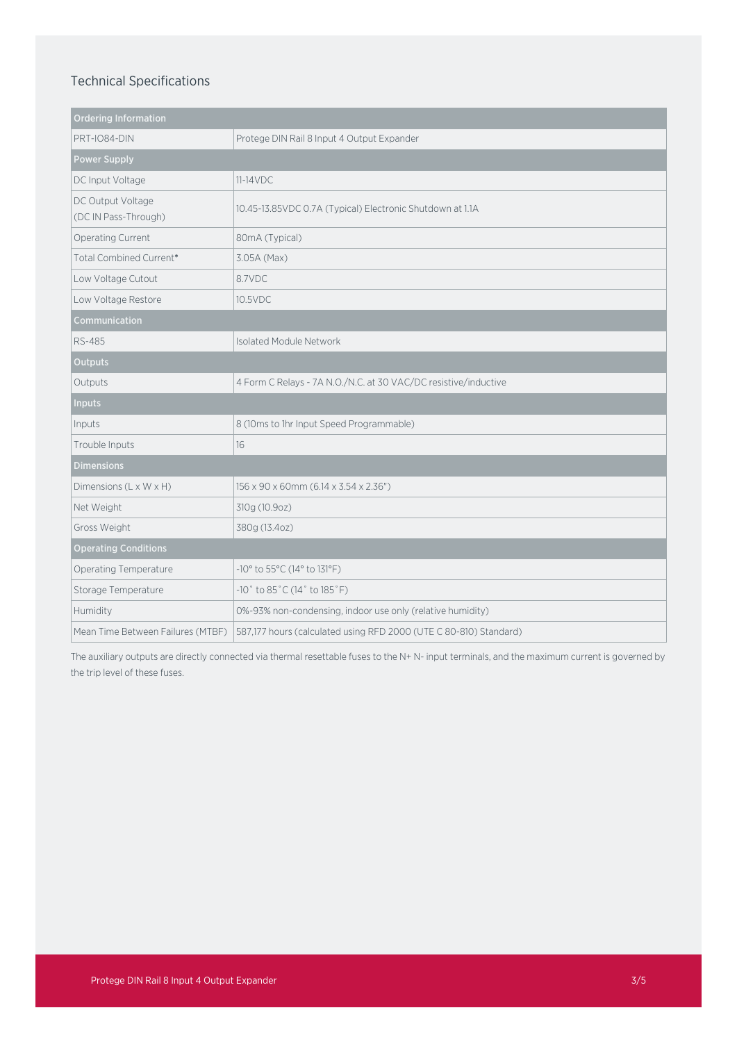# Technical Specifications

| <b>Ordering Information</b>               |                                                                      |
|-------------------------------------------|----------------------------------------------------------------------|
| PRT-IO84-DIN                              | Protege DIN Rail 8 Input 4 Output Expander                           |
| <b>Power Supply</b>                       |                                                                      |
| DC Input Voltage                          | $11-14VDC$                                                           |
| DC Output Voltage<br>(DC IN Pass-Through) | 10.45-13.85VDC 0.7A (Typical) Electronic Shutdown at 1.1A            |
| Operating Current                         | 80mA (Typical)                                                       |
| Total Combined Current*                   | 3.05A (Max)                                                          |
| Low Voltage Cutout                        | 8.7VDC                                                               |
| Low Voltage Restore                       | 10.5VDC                                                              |
| Communication                             |                                                                      |
| <b>RS-485</b>                             | Isolated Module Network                                              |
| <b>Outputs</b>                            |                                                                      |
| Outputs                                   | 4 Form C Relays - 7A N.O./N.C. at 30 VAC/DC resistive/inductive      |
| <b>Inputs</b>                             |                                                                      |
| Inputs                                    | 8 (10ms to 1hr Input Speed Programmable)                             |
| Trouble Inputs                            | 16                                                                   |
| <b>Dimensions</b>                         |                                                                      |
| Dimensions (L x W x H)                    | 156 x 90 x 60mm (6.14 x 3.54 x 2.36")                                |
| Net Weight                                | 310g (10.9oz)                                                        |
| Gross Weight                              | 380g (13.4oz)                                                        |
| <b>Operating Conditions</b>               |                                                                      |
| Operating Temperature                     | -10° to 55°C (14° to 131°F)                                          |
| Storage Temperature                       | $-10^{\circ}$ to 85 $^{\circ}$ C (14 $^{\circ}$ to 185 $^{\circ}$ F) |
| Humidity                                  | 0%-93% non-condensing, indoor use only (relative humidity)           |
| Mean Time Between Failures (MTBF)         | 587,177 hours (calculated using RFD 2000 (UTE C 80-810) Standard)    |

The auxiliary outputs are directly connected via thermal resettable fuses to the N+ N- input terminals, and the maximum current is governed by the trip level of these fuses.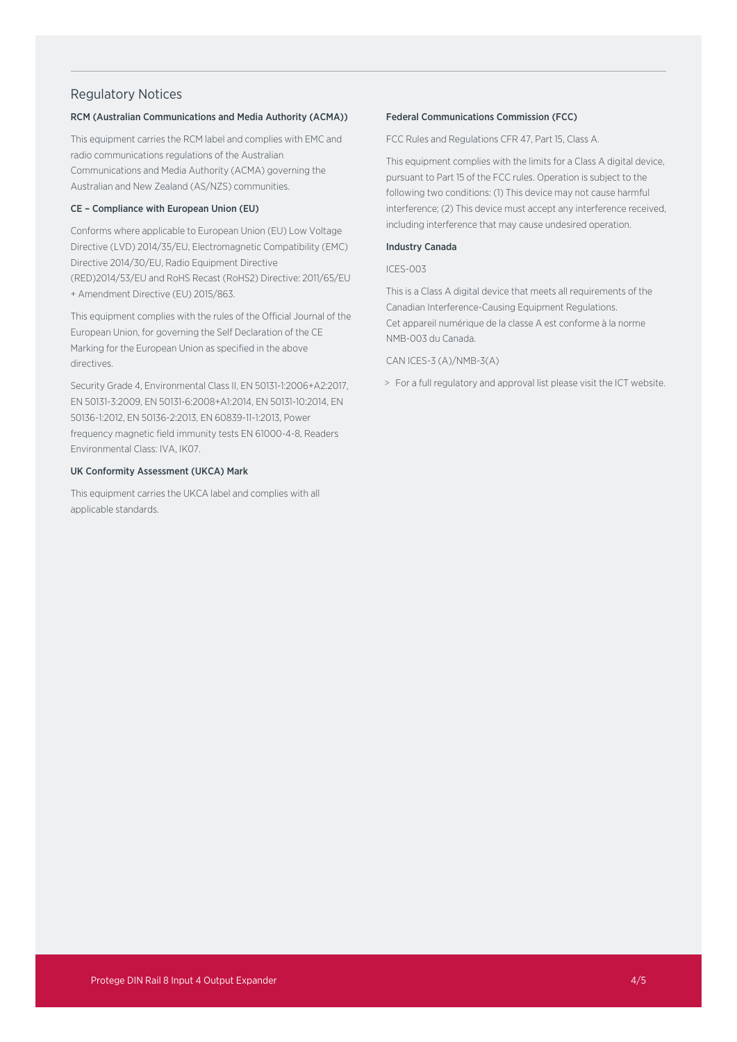## Regulatory Notices

#### RCM (Australian Communications and Media Authority (ACMA))

This equipment carries the RCM label and complies with EMC and radio communications regulations of the Australian Communications and Media Authority (ACMA) governing the Australian and New Zealand (AS/NZS) communities.

### CE – Compliance with European Union (EU)

Conforms where applicable to European Union (EU) Low Voltage Directive (LVD) 2014/35/EU, Electromagnetic Compatibility (EMC) Directive 2014/30/EU, Radio Equipment Directive (RED)2014/53/EU and RoHS Recast (RoHS2) Directive: 2011/65/EU + Amendment Directive (EU) 2015/863.

This equipment complies with the rules of the Official Journal of the European Union, for governing the Self Declaration of the CE Marking for the European Union as specified in the above directives.

Security Grade 4, Environmental Class II, EN 50131-1:2006+A2:2017, EN 50131-3:2009, EN 50131-6:2008+A1:2014, EN 50131-10:2014, EN 50136-1:2012, EN 50136-2:2013, EN 60839-11-1:2013, Power frequency magnetic field immunity tests EN 61000-4-8, Readers Environmental Class: IVA, IK07.

#### UK Conformity Assessment (UKCA) Mark

This equipment carries the UKCA label and complies with all applicable standards.

#### Federal Communications Commission (FCC)

FCC Rules and Regulations CFR 47, Part 15, Class A.

This equipment complies with the limits for a Class A digital device, pursuant to Part 15 of the FCC rules. Operation is subject to the following two conditions: (1) This device may not cause harmful interference; (2) This device must accept any interference received, including interference that may cause undesired operation.

#### Industry Canada

#### ICES-003

This is a Class A digital device that meets all requirements of the Canadian Interference-Causing Equipment Regulations. Cet appareil numérique de la classe A est conforme à la norme NMB-003 du Canada.

#### CAN ICES-3 (A)/NMB-3(A)

> For a full regulatory and approval list please visit the ICT website.